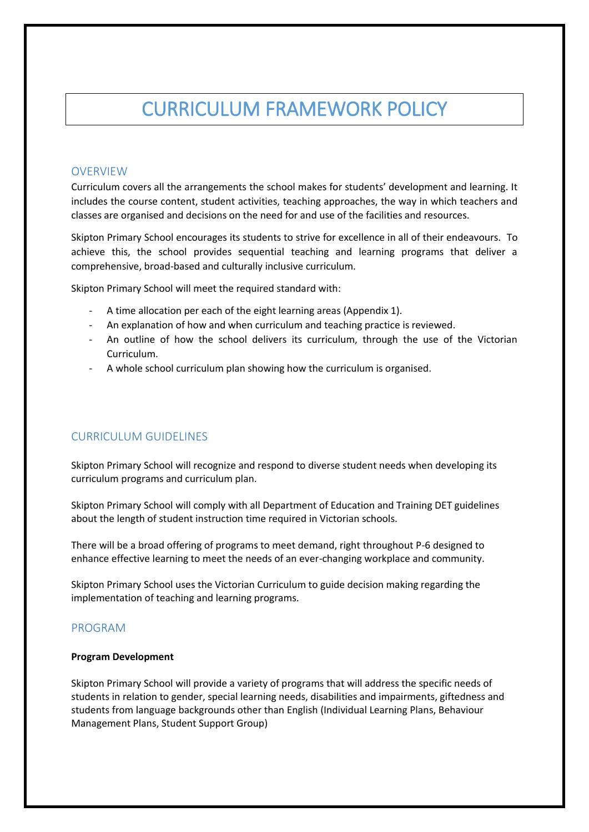# CURRICULUM FRAMEWORK POLICY

## **OVERVIEW**

Curriculum covers all the arrangements the school makes for students' development and learning. It includes the course content, student activities, teaching approaches, the way in which teachers and classes are organised and decisions on the need for and use of the facilities and resources.

Skipton Primary School encourages its students to strive for excellence in all of their endeavours. To achieve this, the school provides sequential teaching and learning programs that deliver a comprehensive, broad-based and culturally inclusive curriculum.

Skipton Primary School will meet the required standard with:

- A time allocation per each of the eight learning areas (Appendix 1).
- An explanation of how and when curriculum and teaching practice is reviewed.
- An outline of how the school delivers its curriculum, through the use of the Victorian Curriculum.
- A whole school curriculum plan showing how the curriculum is organised.

# CURRICULUM GUIDELINES

Skipton Primary School will recognize and respond to diverse student needs when developing its curriculum programs and curriculum plan.

Skipton Primary School will comply with all Department of Education and Training DET guidelines about the length of student instruction time required in Victorian schools.

There will be a broad offering of programs to meet demand, right throughout P-6 designed to enhance effective learning to meet the needs of an ever-changing workplace and community.

Skipton Primary School uses the Victorian Curriculum to guide decision making regarding the implementation of teaching and learning programs.

#### PROGRAM

#### **Program Development**

Skipton Primary School will provide a variety of programs that will address the specific needs of students in relation to gender, special learning needs, disabilities and impairments, giftedness and students from language backgrounds other than English (Individual Learning Plans, Behaviour Management Plans, Student Support Group)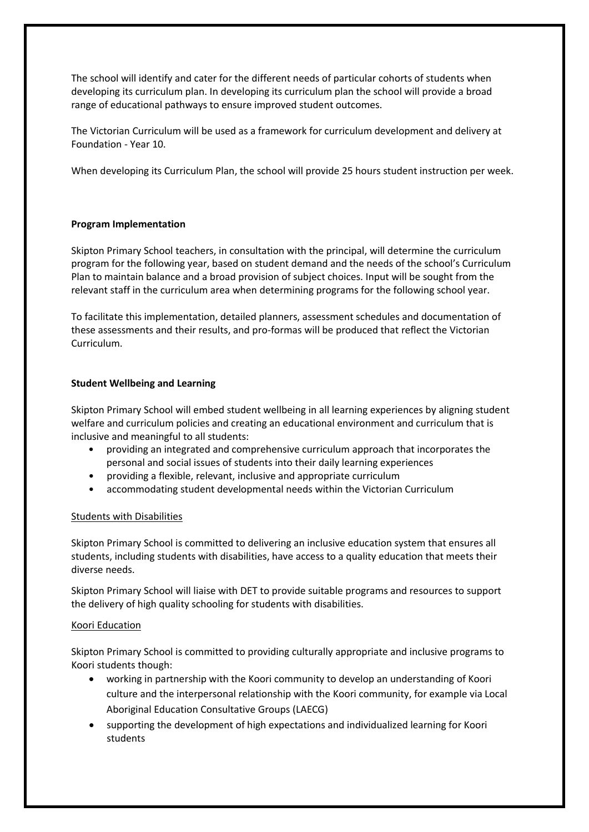The school will identify and cater for the different needs of particular cohorts of students when developing its curriculum plan. In developing its curriculum plan the school will provide a broad range of educational pathways to ensure improved student outcomes.

The Victorian Curriculum will be used as a framework for curriculum development and delivery at Foundation - Year 10.

When developing its Curriculum Plan, the school will provide 25 hours student instruction per week.

#### **Program Implementation**

Skipton Primary School teachers, in consultation with the principal, will determine the curriculum program for the following year, based on student demand and the needs of the school's Curriculum Plan to maintain balance and a broad provision of subject choices. Input will be sought from the relevant staff in the curriculum area when determining programs for the following school year.

To facilitate this implementation, detailed planners, assessment schedules and documentation of these assessments and their results, and pro-formas will be produced that reflect the Victorian Curriculum.

#### **Student Wellbeing and Learning**

Skipton Primary School will embed student wellbeing in all learning experiences by aligning student welfare and curriculum policies and creating an educational environment and curriculum that is inclusive and meaningful to all students:

- providing an integrated and comprehensive curriculum approach that incorporates the personal and social issues of students into their daily learning experiences
- providing a flexible, relevant, inclusive and appropriate curriculum
- accommodating student developmental needs within the Victorian Curriculum

#### Students with Disabilities

Skipton Primary School is committed to delivering an inclusive education system that ensures all students, including students with disabilities, have access to a quality education that meets their diverse needs.

Skipton Primary School will liaise with DET to provide suitable programs and resources to support the delivery of high quality schooling for students with disabilities.

#### Koori Education

Skipton Primary School is committed to providing culturally appropriate and inclusive programs to Koori students though:

- working in partnership with the Koori community to develop an understanding of Koori culture and the interpersonal relationship with the Koori community, for example via Local Aboriginal Education Consultative Groups (LAECG)
- supporting the development of high expectations and individualized learning for Koori students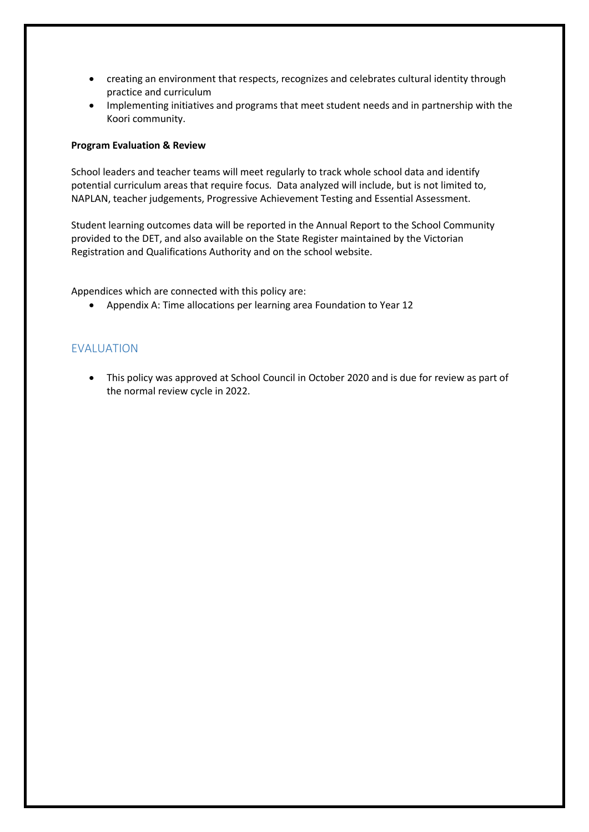- creating an environment that respects, recognizes and celebrates cultural identity through practice and curriculum
- Implementing initiatives and programs that meet student needs and in partnership with the Koori community.

#### **Program Evaluation & Review**

School leaders and teacher teams will meet regularly to track whole school data and identify potential curriculum areas that require focus. Data analyzed will include, but is not limited to, NAPLAN, teacher judgements, Progressive Achievement Testing and Essential Assessment.

Student learning outcomes data will be reported in the Annual Report to the School Community provided to the DET, and also available on the State Register maintained by the Victorian Registration and Qualifications Authority and on the school website.

Appendices which are connected with this policy are:

Appendix A: Time allocations per learning area Foundation to Year 12

### EVALUATION

 This policy was approved at School Council in October 2020 and is due for review as part of the normal review cycle in 2022.